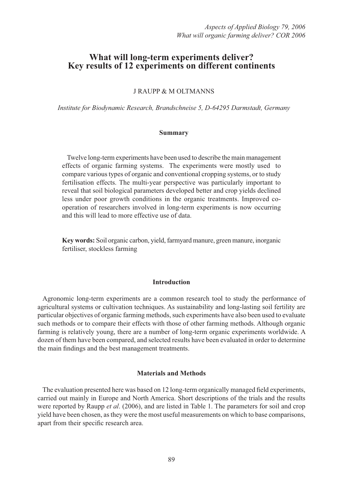# **What will long-term experiments deliver? Key results of 12 experiments on different continents**

J RAUPP & M OLTMANNS

*Institute for Biodynamic Research, Brandschneise 5, D-64295 Darmstadt, Germany*

## **Summary**

Twelve long-term experiments have been used to describe the main management effects of organic farming systems. The experiments were mostly used to compare various types of organic and conventional cropping systems, or to study fertilisation effects. The multi-year perspective was particularly important to reveal that soil biological parameters developed better and crop yields declined less under poor growth conditions in the organic treatments. Improved cooperation of researchers involved in long-term experiments is now occurring and this will lead to more effective use of data.

**Key words:** Soil organic carbon, yield, farmyard manure, green manure, inorganic fertiliser, stockless farming

## **Introduction**

Agronomic long-term experiments are a common research tool to study the performance of agricultural systems or cultivation techniques. As sustainability and long-lasting soil fertility are particular objectives of organic farming methods, such experiments have also been used to evaluate such methods or to compare their effects with those of other farming methods. Although organic farming is relatively young, there are a number of long-term organic experiments worldwide. A dozen of them have been compared, and selected results have been evaluated in order to determine the main findings and the best management treatments.

#### **Materials and Methods**

The evaluation presented here was based on 12 long-term organically managed field experiments, carried out mainly in Europe and North America. Short descriptions of the trials and the results were reported by Raupp *et al*. (2006), and are listed in Table 1. The parameters for soil and crop yield have been chosen, as they were the most useful measurements on which to base comparisons, apart from their specific research area.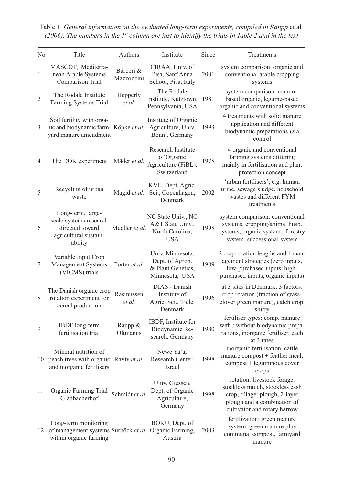| N <sub>0</sub>   | Title                                                                                                   | Authors                 | Institute                                                                  | Since | Treatments                                                                                                                                                      |
|------------------|---------------------------------------------------------------------------------------------------------|-------------------------|----------------------------------------------------------------------------|-------|-----------------------------------------------------------------------------------------------------------------------------------------------------------------|
| $\mathbf{1}$     | MASCOT, Mediterra-<br>nean Arable Systems<br>Comparison Trial                                           | Bárberi &<br>Mazzoncini | CIRAA, Univ. of<br>Pisa, Sant'Anna<br>School, Pisa, Italy                  | 2001  | system comparison: organic and<br>conventional arable cropping<br>systems                                                                                       |
| $\overline{2}$   | The Rodale Institute<br>Farming Systems Trial                                                           | Hepperly<br>et al.      | The Rodale<br>Institute, Kutztown,<br>Pennsylvania, USA                    | 1981  | system comparison: manure-<br>based organic, legume-based<br>organic and conventional systems                                                                   |
| 3                | Soil fertility with orga-<br>nic and biodynamic farm- Köpke et al.<br>yard manure amendment             |                         | Institute of Organic<br>Agriculture, Univ.<br>Bonn, Germany                | 1993  | 4 treatments with solid manure<br>application and different<br>biodynamic preparations vs a<br>control                                                          |
| 4                | The DOK experiment                                                                                      | Mäder et al.            | Research Institute<br>of Organic<br>Agriculture (FiBL),<br>Switzerland     | 1978  | 4 organic and conventional<br>farming systems differing<br>mainly in fertilisation and plant<br>protection concept                                              |
| 5                | Recycling of urban<br>waste                                                                             | Magid et al.            | KVL, Dept. Agric.<br>Sci., Copenhagen,<br>Denmark                          | 2002  | 'urban fertilisers', e.g. human<br>urine, sewage sludge, household<br>wastes and different FYM<br>treatments                                                    |
| 6                | Long-term, large-<br>scale systems research<br>directed toward<br>agricultural sustain-<br>ability      | Mueller et al.          | NC State Univ., NC<br>A&T State Univ.,<br>North Carolina,<br><b>USA</b>    | 1998  | system comparison: conventional<br>systems, cropping/animal husb.<br>systems, organic system, forestry<br>system, successional system                           |
| $\boldsymbol{7}$ | Variable Input Crop<br>Management Systems<br>(VICMS) trials                                             | Porter et al.           | Univ. Minnesota,<br>Dept. of Agron.<br>& Plant Genetics,<br>Minnesota, USA | 1989  | 2 crop rotation lengths and 4 man-<br>agement strategies (zero inputs,<br>low-purchased inputs, high-<br>purchased inputs, organic inputs)                      |
| 8                | The Danish organic crop<br>rotation experiment for<br>cereal production                                 | Rasmussen<br>et al.     | DIAS - Danish<br>Institute of<br>Agric. Sci., Tjele,<br>Denmark            | 1996  | at 3 sites in Denmark; 3 factors:<br>crop rotation (fraction of grass-<br>clover green manure), catch crop,<br>slurry                                           |
| 9                | <b>IBDF</b> long-term<br>fertilisation trial                                                            | Raupp &<br>Oltmanns     | IBDF, Institute for<br>Biodynamic Re-<br>search, Germany                   | 1980  | fertiliser types: comp. manure<br>with / without biodynamic prepa-<br>rations, inorganic fertiliser, each<br>at 3 rates                                         |
|                  | Mineral nutrition of<br>10 peach trees with organic Raviv et al.<br>and inorganic fertilisers           |                         | Newe Ya'ar<br>Research Center,<br>Israel                                   | 1998  | inorganic fertilisation, cattle<br>manure compost + feather meal,<br>compost + leguminous cover<br>crops                                                        |
| 11               | Organic Farming Trial<br>Gladbacherhof                                                                  | Schmidt et al.          | Univ. Giessen,<br>Dept. of Organic<br>Agriculture,<br>Germany              | 1998  | rotation: livestock forage,<br>stockless mulch, stockless cash<br>crop; tillage: plough, 2-layer<br>plough and a combination of<br>cultivator and rotary harrow |
| 12               | Long-term monitoring<br>of management systems Surböck et al. Organic Farming,<br>within organic farming |                         | BOKU, Dept. of<br>Austria                                                  | 2003  | fertilization: green manure<br>system, green manure plus<br>communal compost, farmyard<br>manure                                                                |

Table 1. *General information on the evaluated long-term experiments, compiled in Raupp* et al*. (2006). The numbers in the 1st column are just to identify the trials in Table 2 and in the text*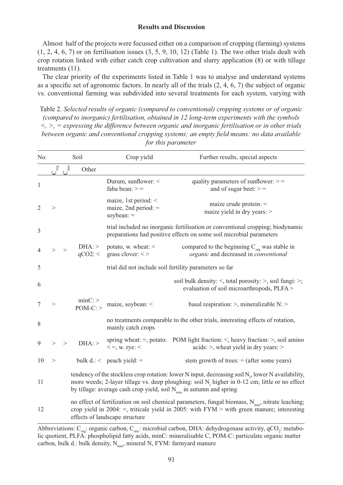### **Results and Discussion**

Almost half of the projects were focussed either on a comparison of cropping (farming) systems  $(1, 2, 4, 6, 7)$  or on fertilisation issues  $(3, 5, 9, 10, 12)$  (Table 1). The two other trials dealt with crop rotation linked with either catch crop cultivation and slurry application (8) or with tillage treatments (11).

The clear priority of the experiments listed in Table 1 was to analyse and understand systems as a specific set of agronomic factors. In nearly all of the trials  $(2, 4, 6, 7)$  the subject of organic vs. conventional farming was subdivided into several treatments for each system, varying with

Table 2. *Selected results of organic (compared to conventional) cropping systems or of organic (compared to inorganic) fertilisation, obtained in 12 long-term experiments with the symbols <, >, = expressing the difference between organic and inorganic fertilisation or in other trials between organic and conventional cropping systems; an empty field means: no data available for this parameter*

| No.            |       |            | Soil                                                                                                                                                                                                                                                                                   | Crop yield                                                          | Further results, special aspects                                                                                                                                                                        |  |  |  |
|----------------|-------|------------|----------------------------------------------------------------------------------------------------------------------------------------------------------------------------------------------------------------------------------------------------------------------------------------|---------------------------------------------------------------------|---------------------------------------------------------------------------------------------------------------------------------------------------------------------------------------------------------|--|--|--|
|                | ເງິ   | $\epsilon$ | Other                                                                                                                                                                                                                                                                                  |                                                                     |                                                                                                                                                                                                         |  |  |  |
| 1              |       |            |                                                                                                                                                                                                                                                                                        | Durum, sunflower: <<br>faba bean: $>$ =                             | quality parameters of sunflower: $>$ =<br>and of sugar beet: $>$ =                                                                                                                                      |  |  |  |
| $\overline{2}$ | $\,>$ |            |                                                                                                                                                                                                                                                                                        | maize, 1st period: $\leq$<br>maize, 2nd period: $=$<br>soybean: $=$ | maize crude protein: $=$<br>maize yield in dry years: $>$                                                                                                                                               |  |  |  |
| 3              |       |            |                                                                                                                                                                                                                                                                                        |                                                                     | trial included no inorganic fertilisation or conventional cropping; biodynamic<br>preparations had positive effects on some soil microbial parameters                                                   |  |  |  |
| 4              |       | >          | $DHA$ : ><br>qCO2:                                                                                                                                                                                                                                                                     | potato, w. wheat: $\leq$<br>grass clover: $\lt$ >                   | compared to the beginning $C_{\text{org}}$ was stable in<br>organic and decreased in conventional                                                                                                       |  |  |  |
| 5              |       |            |                                                                                                                                                                                                                                                                                        |                                                                     | trial did not include soil fertility parameters so far                                                                                                                                                  |  |  |  |
| 6              |       |            |                                                                                                                                                                                                                                                                                        |                                                                     | soil bulk density: $\le$ , total porosity: $\ge$ , soil fungi: $\ge$ ;<br>evaluation of soil microarthropods, PLFA >                                                                                    |  |  |  |
| 7              | >     |            | $minC$ : $>$<br>$POM-C$ :                                                                                                                                                                                                                                                              | maize, soybean: <                                                   | basal respiration: $>$ , mineralizable N: $>$                                                                                                                                                           |  |  |  |
| 8              |       |            |                                                                                                                                                                                                                                                                                        | mainly catch crops                                                  | no treatments comparable to the other trials, interesting effects of rotation,                                                                                                                          |  |  |  |
| 9              | >     | $\rm{>}$   | DHA:                                                                                                                                                                                                                                                                                   | $\leq$ =, w. rye: $\leq$                                            | spring wheat: $=$ , potato: POM light fraction: $\le$ , heavy fraction: $\ge$ , soil amino<br>$acids$ : >, wheat yield in dry years: >                                                                  |  |  |  |
| 10             | >     |            |                                                                                                                                                                                                                                                                                        | bulk $d$ .: $\le$ peach yield: $=$                                  | stem growth of trees: $=$ (after some years)                                                                                                                                                            |  |  |  |
| 11             |       |            | tendency of the stockless crop rotation: lower N input, decreasing soil $N_t$ , lower N availability,<br>more weeds; 2-layer tillage vs. deep ploughing: soil $N_t$ higher in 0-12 cm; little or no effect<br>by tillage: average cash crop yield, soil $N_{min}$ in autumn and spring |                                                                     |                                                                                                                                                                                                         |  |  |  |
| 12             |       |            |                                                                                                                                                                                                                                                                                        | effects of landscape structure                                      | no effect of fertilization on soil chemical parameters, fungal biomass, $N_{min}$ , nitrate leaching;<br>crop yield in 2004: $=$ , triticale yield in 2005: with FYM $>$ with green manure; interesting |  |  |  |

Abbreviations: C<sub>org</sub>: organic carbon, C<sub>mic</sub>: microbial carbon, DHA: dehydrogenase activity, qCO<sub>2</sub>: metabolic quotient, PLFA: phospholipid fatty acids, minC: mineralisable C, POM-C: particulate organic matter carbon, bulk d.: bulk density,  $N_{min}$ , mineral N, FYM: farmyard manure